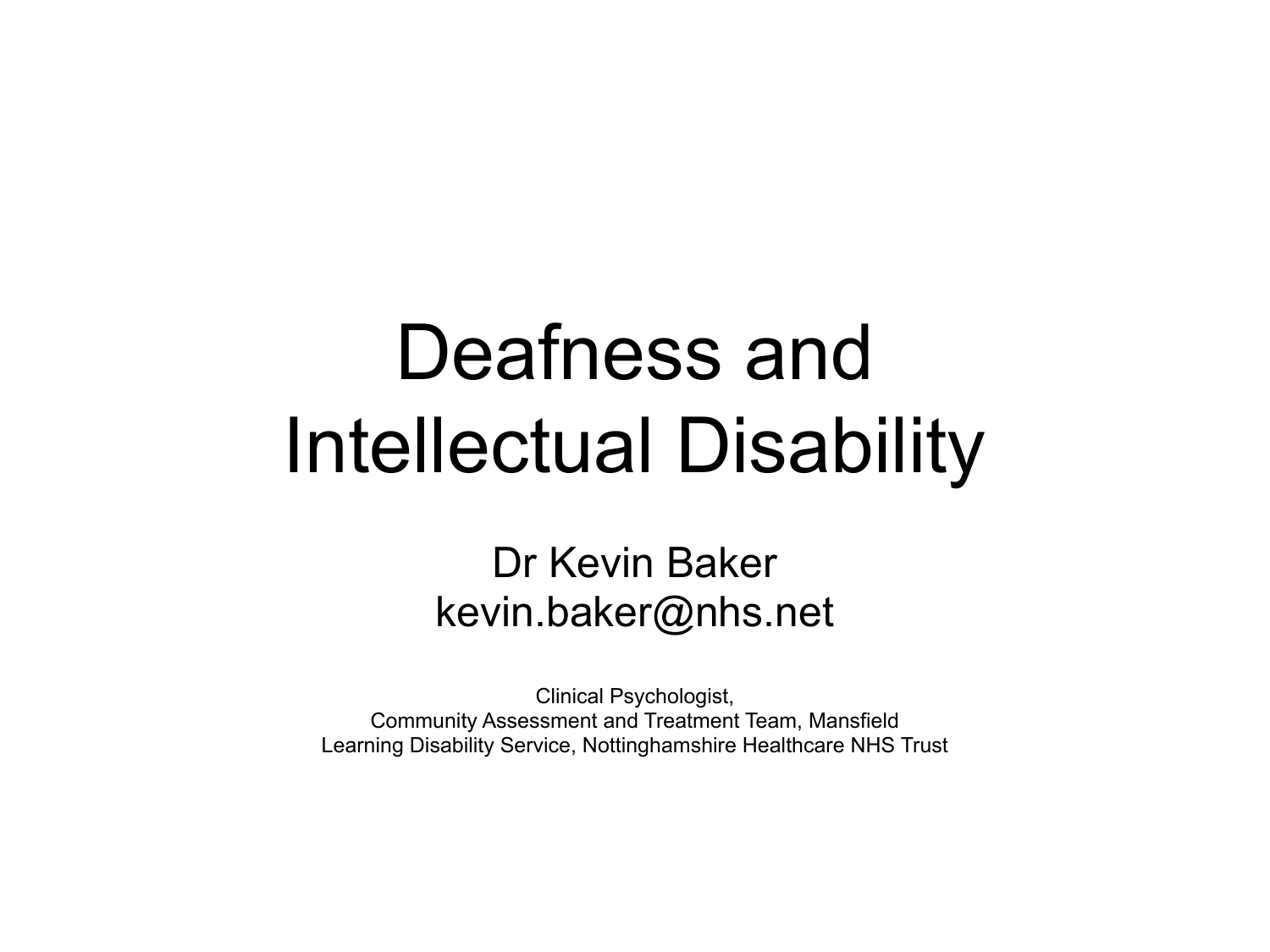## Deafness and Intellectual Disability

#### Dr Kevin Baker kevin.baker@nhs.net

Clinical Psychologist, Community Assessment and Treatment Team, Mansfield Learning Disability Service, Nottinghamshire Healthcare NHS Trust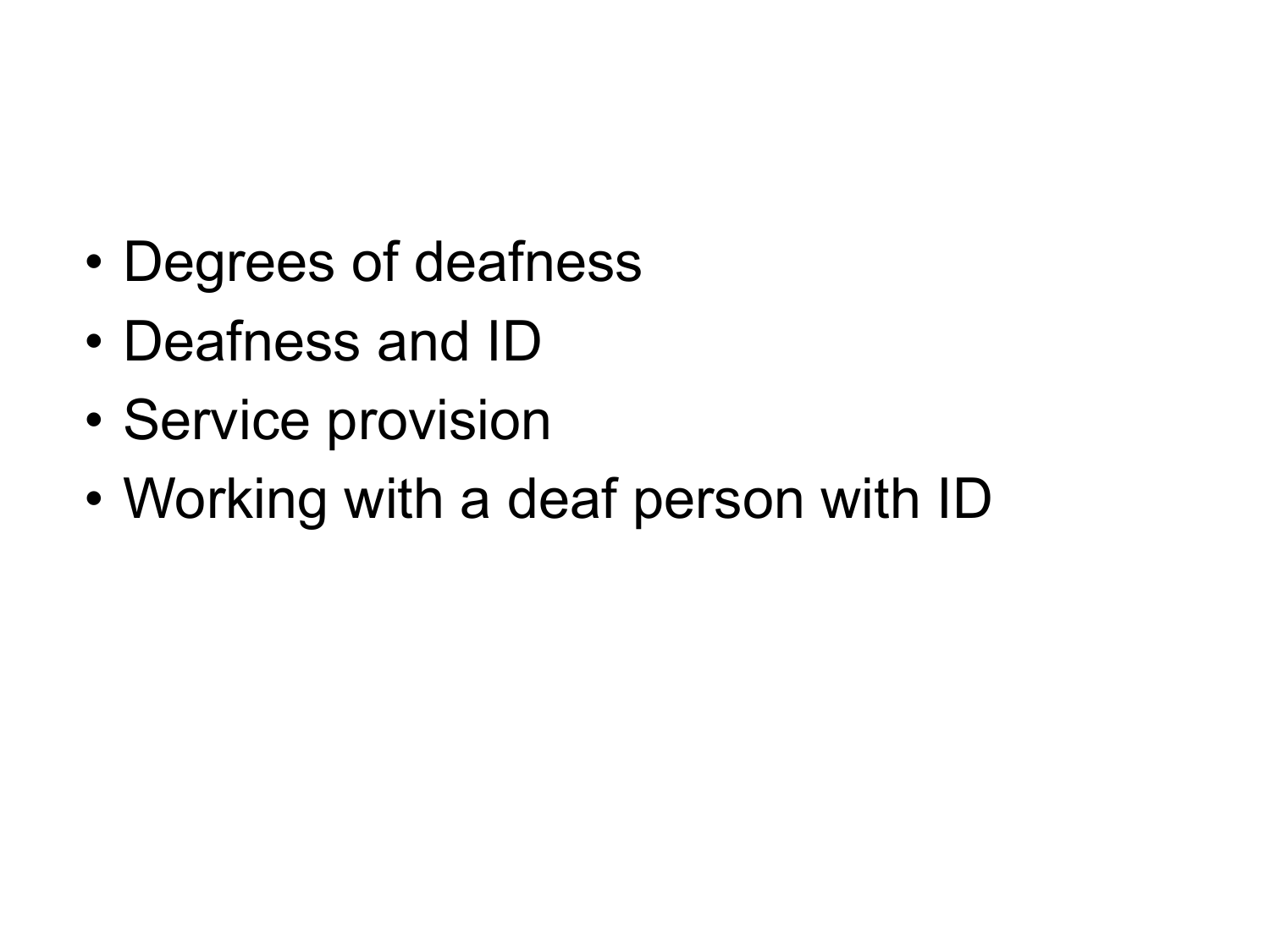- Degrees of deafness
- Deafness and ID
- Service provision
- Working with a deaf person with ID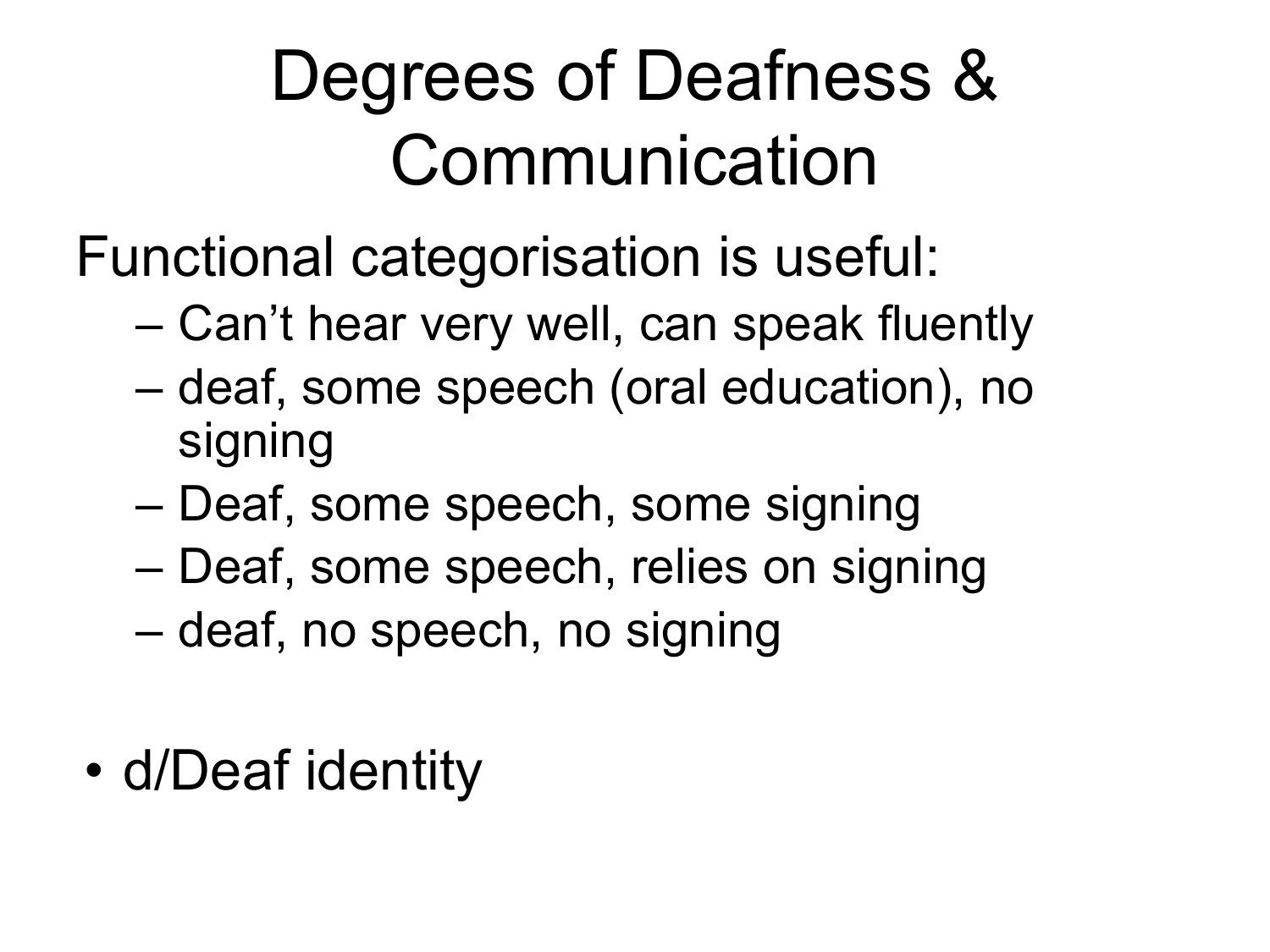#### Degrees of Deafness & Communication

- Functional categorisation is useful:
	- Can't hear very well, can speak fluently
	- deaf, some speech (oral education), no signing
	- Deaf, some speech, some signing
	- Deaf, some speech, relies on signing
	- deaf, no speech, no signing
- d/Deaf identity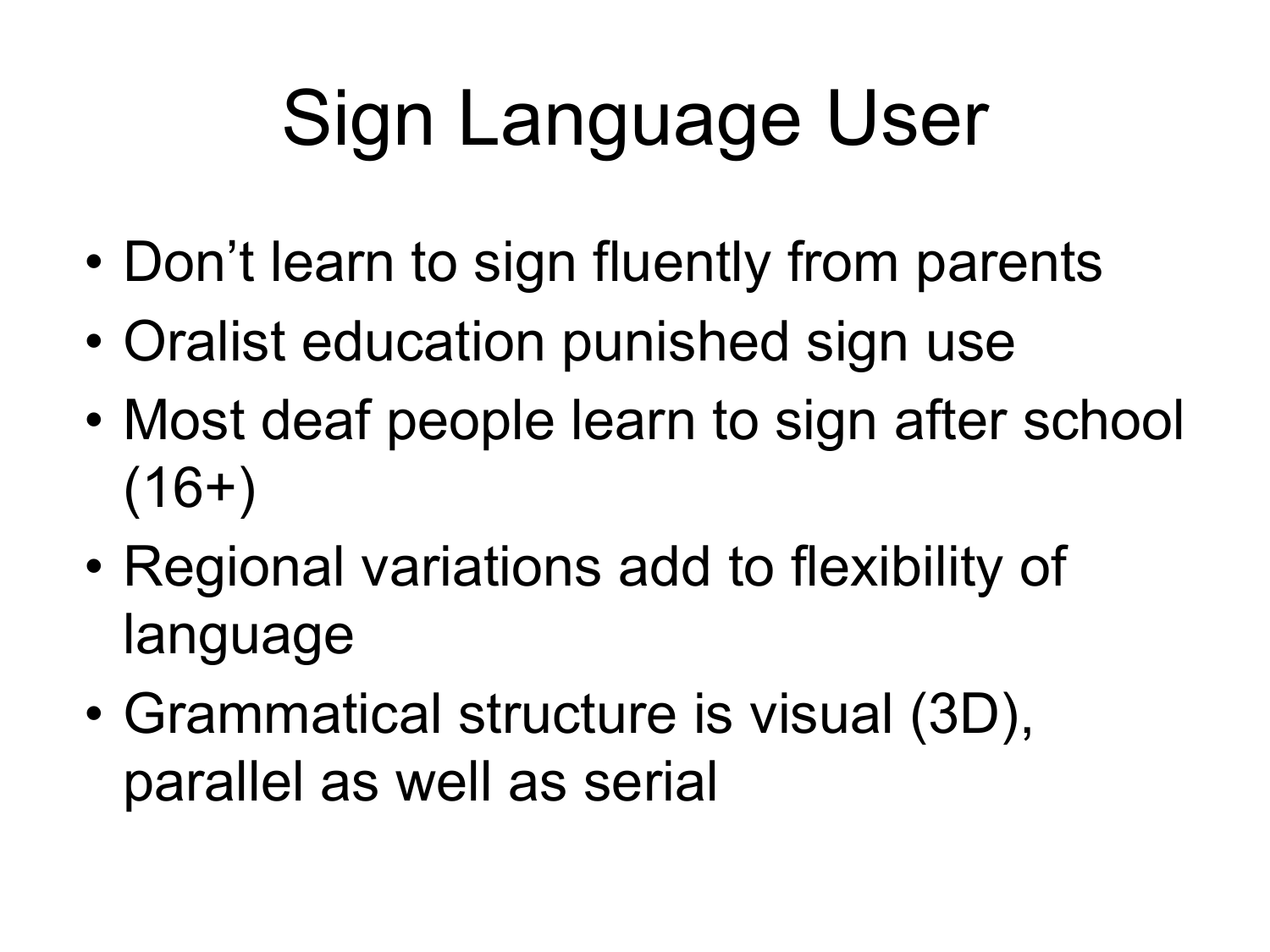# Sign Language User

- Don't learn to sign fluently from parents
- Oralist education punished sign use
- Most deaf people learn to sign after school  $(16+)$
- Regional variations add to flexibility of language
- Grammatical structure is visual (3D), parallel as well as serial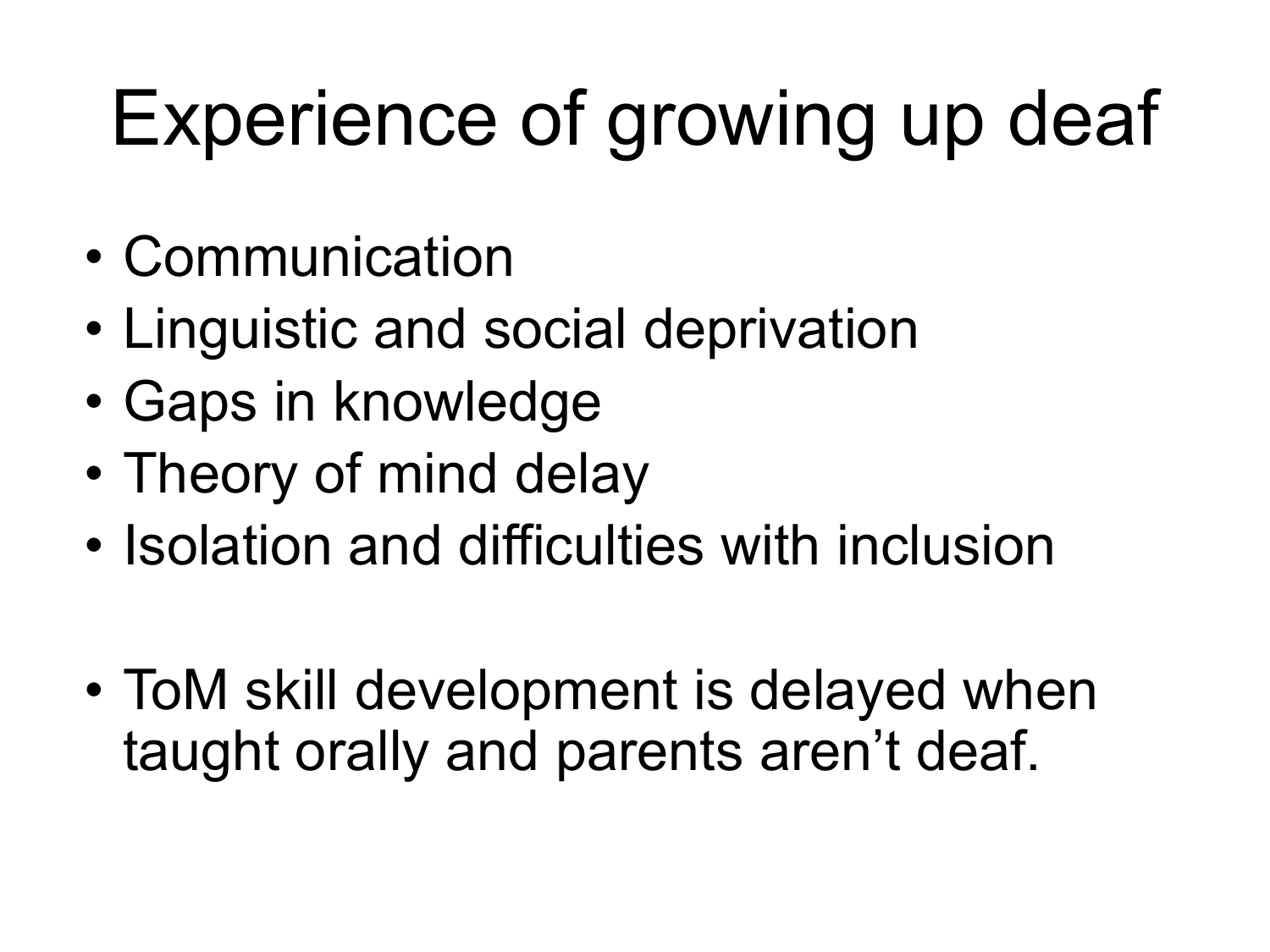# Experience of growing up deaf

- Communication
- Linguistic and social deprivation
- Gaps in knowledge
- Theory of mind delay
- Isolation and difficulties with inclusion
- ToM skill development is delayed when taught orally and parents aren't deaf.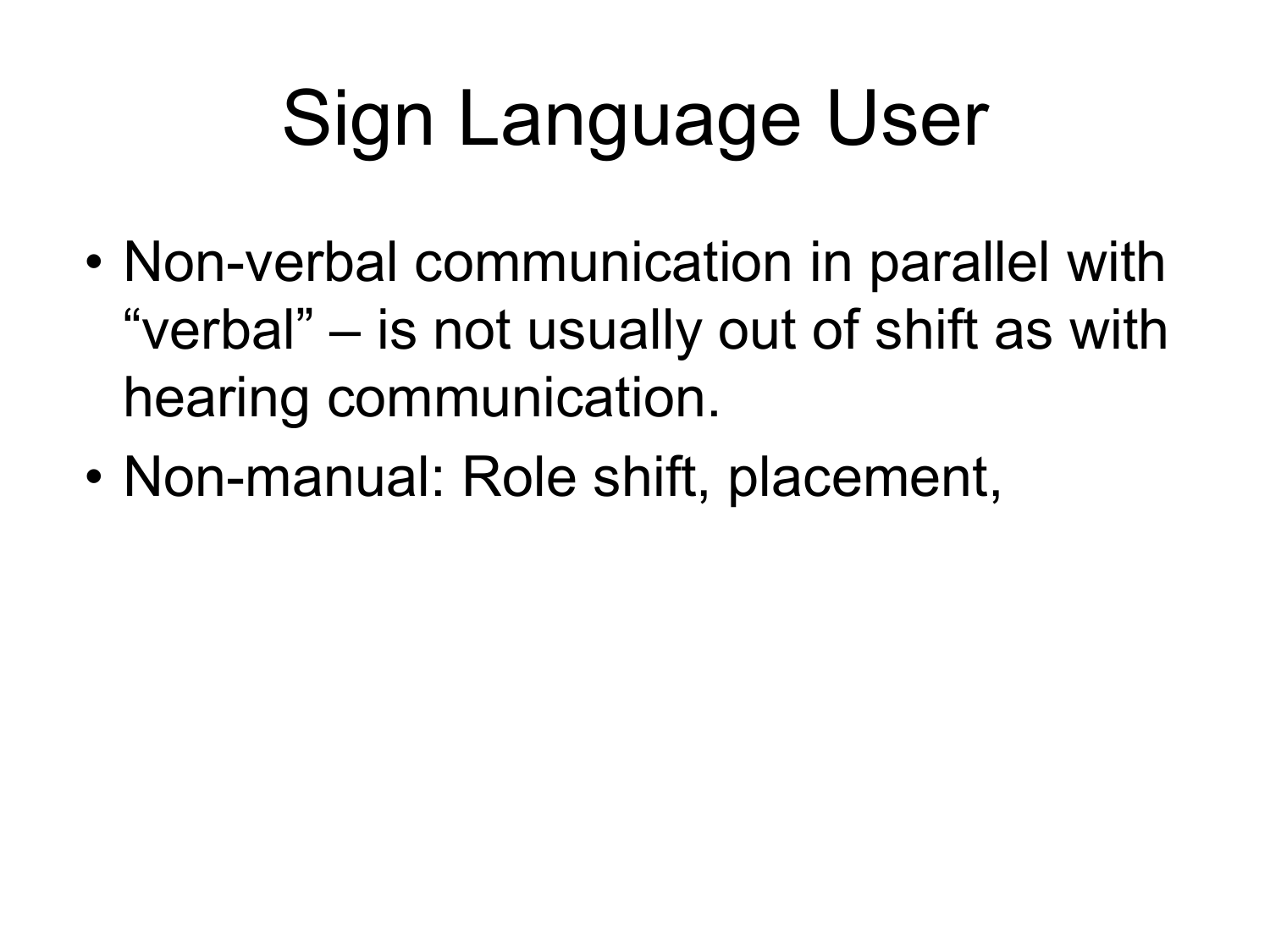# Sign Language User

- Non-verbal communication in parallel with "verbal" – is not usually out of shift as with hearing communication.
- Non-manual: Role shift, placement,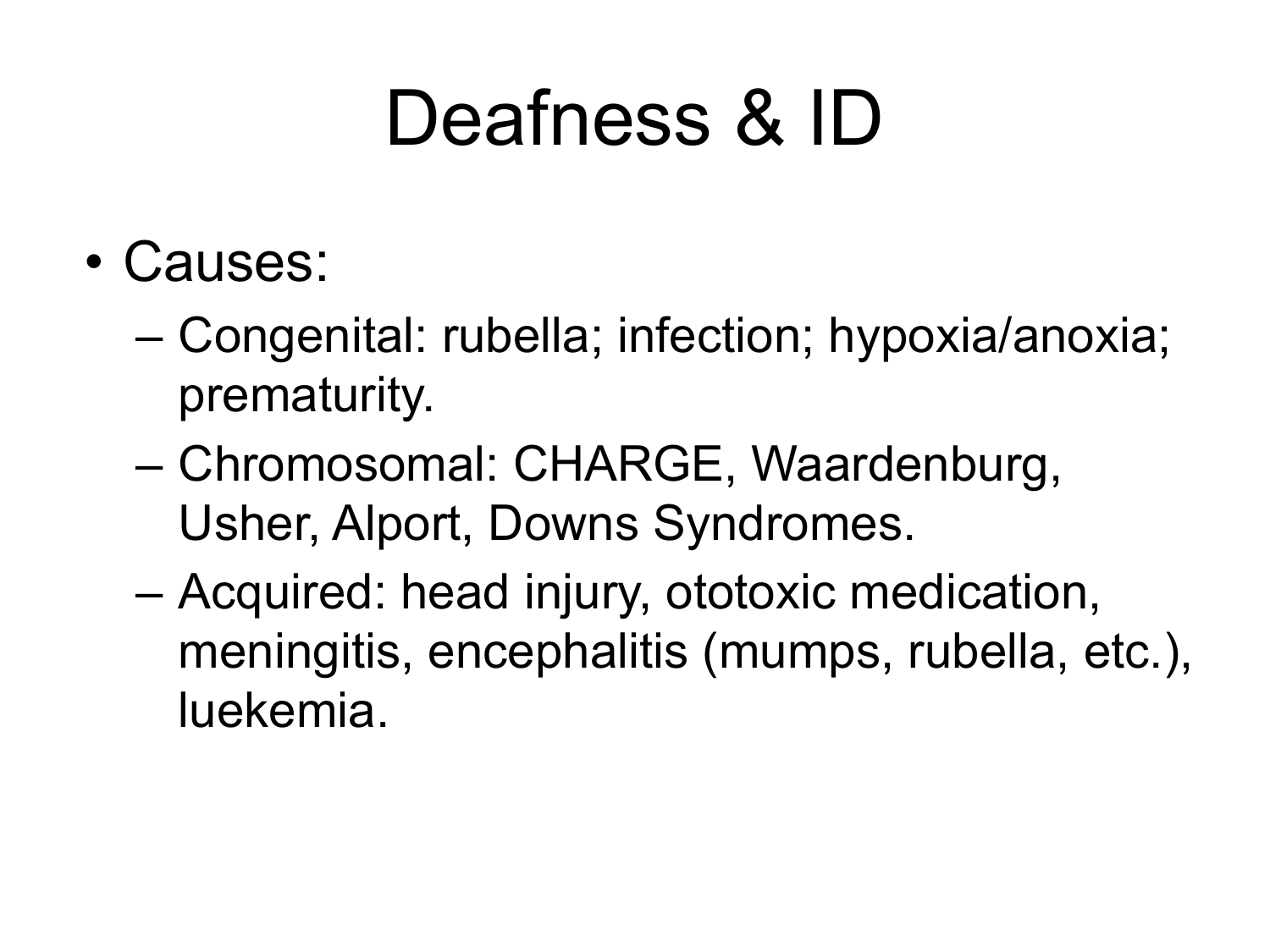## Deafness & ID

- Causes:
	- Congenital: rubella; infection; hypoxia/anoxia; prematurity.
	- Chromosomal: CHARGE, Waardenburg, Usher, Alport, Downs Syndromes.
	- Acquired: head injury, ototoxic medication, meningitis, encephalitis (mumps, rubella, etc.), luekemia.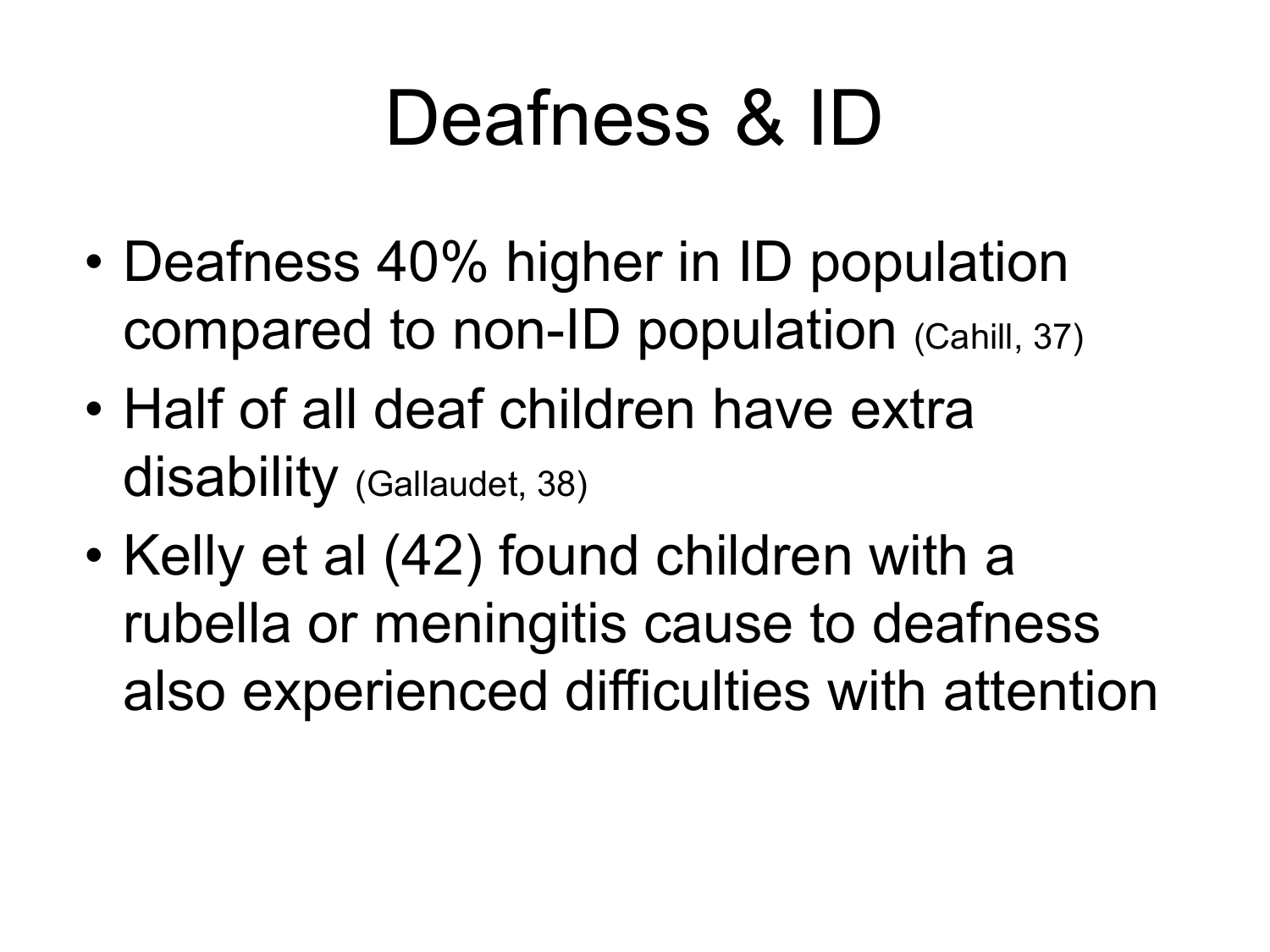## Deafness & ID

- Deafness 40% higher in ID population compared to non-ID population (Cahill, 37)
- Half of all deaf children have extra disability (Gallaudet, 38)
- Kelly et al (42) found children with a rubella or meningitis cause to deafness also experienced difficulties with attention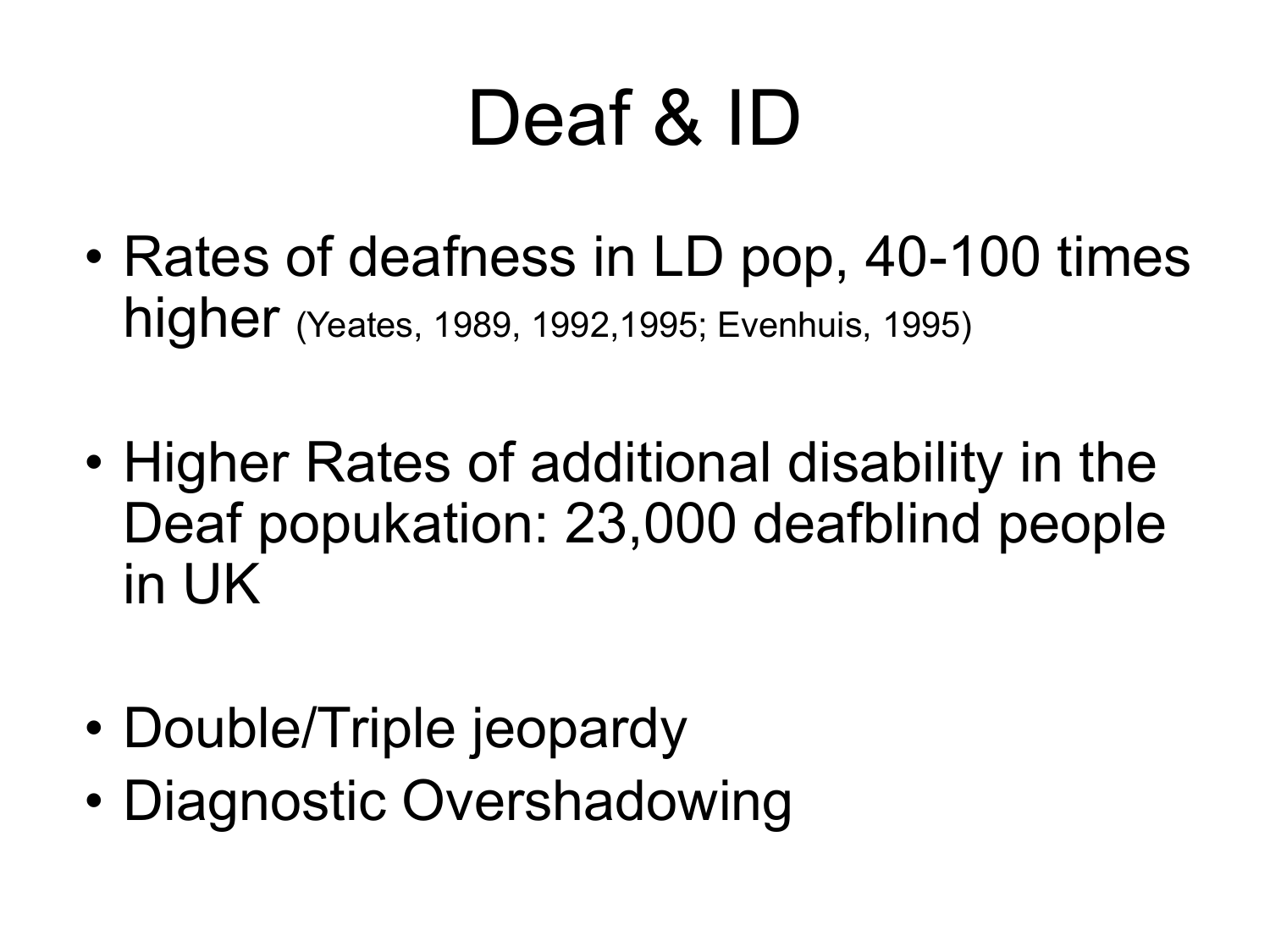## Deaf & ID

- Rates of deafness in LD pop, 40-100 times higher (Yeates, 1989, 1992,1995; Evenhuis, 1995)
- Higher Rates of additional disability in the Deaf popukation: 23,000 deafblind people in UK
- Double/Triple jeopardy
- Diagnostic Overshadowing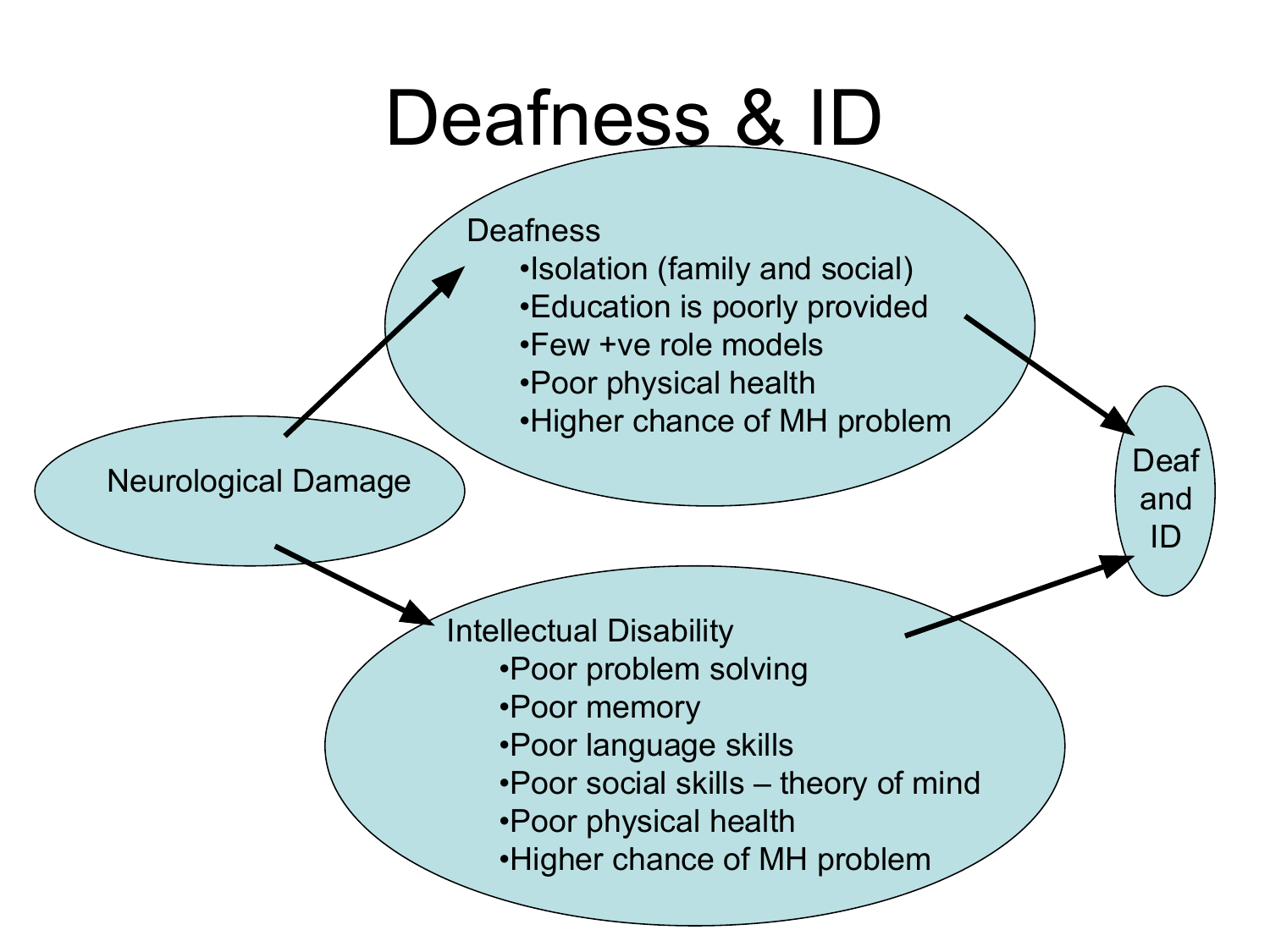#### Deafness & **ID**



•Higher chance of MH problem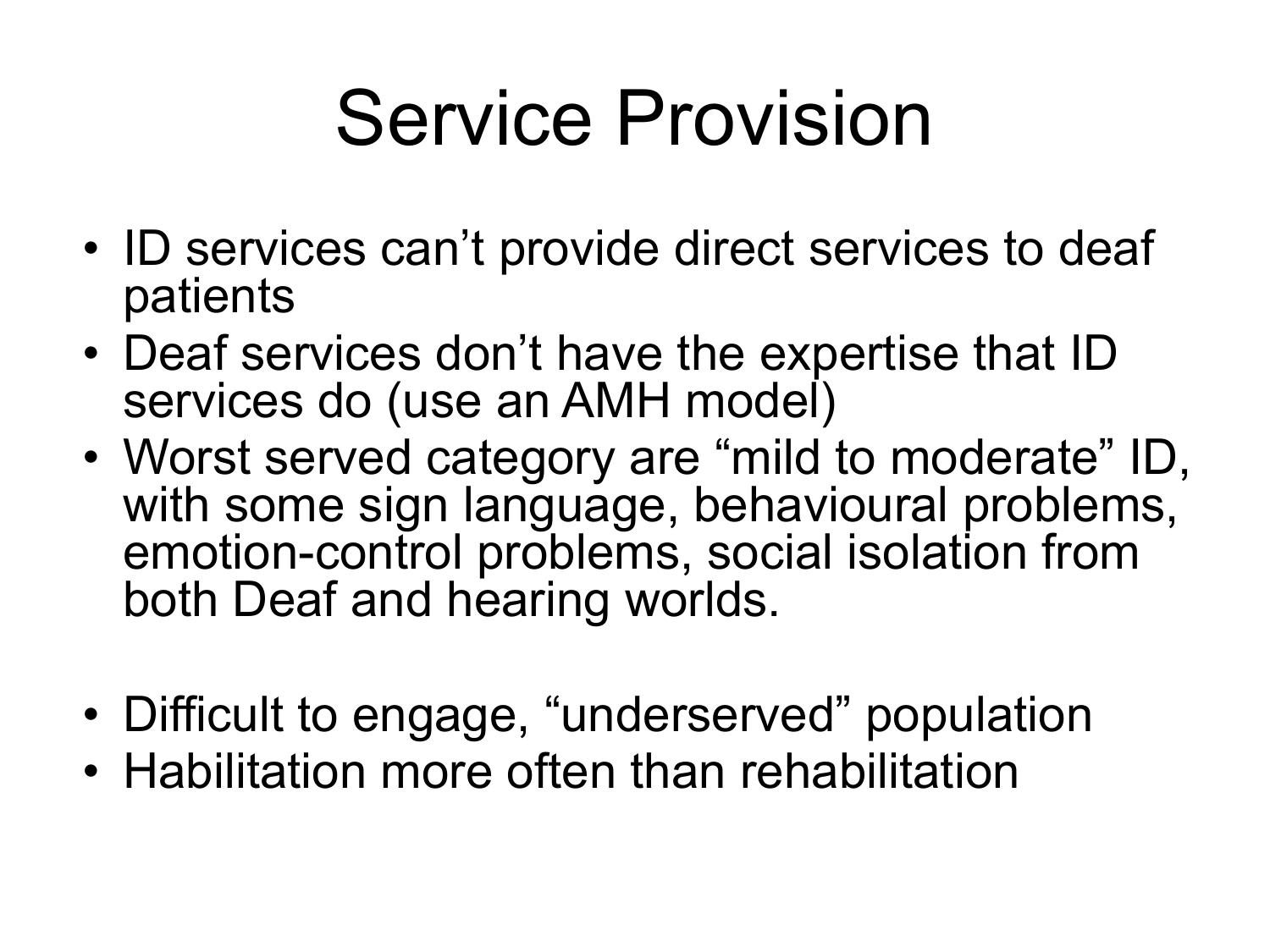## Service Provision

- ID services can't provide direct services to deaf patients
- Deaf services don't have the expertise that ID services do (use an AMH model)
- Worst served category are "mild to moderate" ID, with some sign language, behavioural problems, emotion-control problems, social isolation from both Deaf and hearing worlds.
- Difficult to engage, "underserved" population
- Habilitation more often than rehabilitation